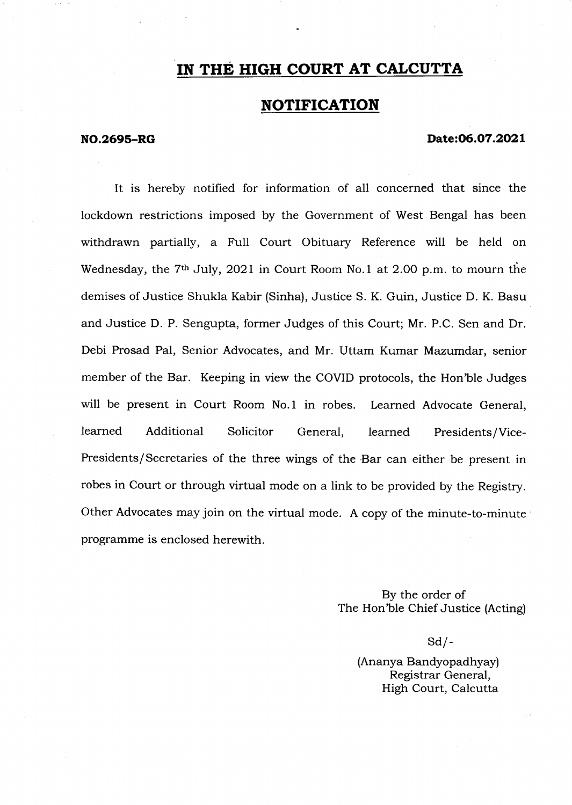# IN THE HIGH COURT AT CALCUTTA

# NOTIFICATION

### NO.2695-RG Date:06.07.2021

It is hereby notified for information of all concerned that since the lockdown restrictions imposed by the Government of West Bengal has been withdrawn partially, a Full Court Obituary Reference will be held on Wednesday, the  $7<sup>th</sup>$  July, 2021 in Court Room No.1 at 2.00 p.m. to mourn the demises of Justice Shukla Kabir (Sinha), Justice S. K. Guin, Justice D. K. Basu and Justice D. P. Sengupta, former Judges of this Court; Mr. P.C. Sen and Dr. Debi Prosad Pal, Senior Advocates, and Mr. Uttam Kumar Mazumdar, senior member of the Bar. Keeping in view the COVID protocols, the Hon'ble Judges will be present in Court Room No.l in robes. Learned Advocate General, learned Additional Solicitor General, learned Presidents/Vice-Presidents/Secretaries of the three wings of the Bar can either be present in robes in Court or through virtual mode on a link to be provided by the Registry. Other Advocates may join on the virtual mode. A copy of the minute-to-minute programme is enclosed herewith.

> By the order of The Hon'ble Chief Justice (Acting)

> > $Sd$  /-

(Ananya Bandyopadhyay) Registrar General, High Court, Calcutta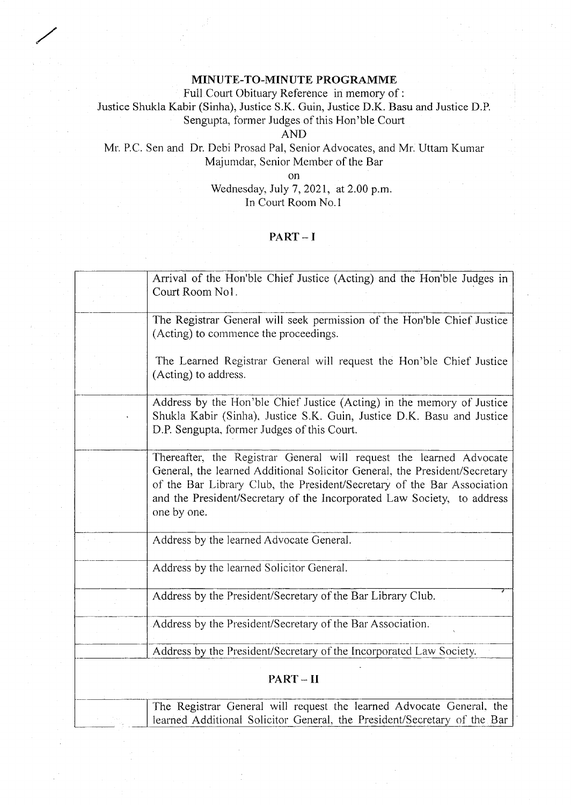# MINUTE-TO-MINUTE PROGRAMME

Full Court Obituary Reference in memory of :

Justice Shukla Kabir (Sinha), Justice S.K. Guin, Justice D.K. Basu and Justice D.P. Sengupta, former Judges of this FIon'ble Court

AND

# Mr. P.C. Sen and Dr. Debi Prosad Pal, Senior Advocates, and Mr. Uttam Kumar Majumdar, Senior Member of the Bar

on

Wednesday, July 7,2021, at 2.00 p.m. In Court Room No.1

# PART \_ I

|         | Arrival of the Hon'ble Chief Justice (Acting) and the Hon'ble Judges in<br>Court Room No1.                                                                                                                                                                                                                             |
|---------|------------------------------------------------------------------------------------------------------------------------------------------------------------------------------------------------------------------------------------------------------------------------------------------------------------------------|
|         | The Registrar General will seek permission of the Hon'ble Chief Justice<br>(Acting) to commence the proceedings.                                                                                                                                                                                                       |
|         | The Learned Registrar General will request the Hon'ble Chief Justice<br>(Acting) to address.                                                                                                                                                                                                                           |
|         | Address by the Hon'ble Chief Justice (Acting) in the memory of Justice<br>Shukla Kabir (Sinha), Justice S.K. Guin, Justice D.K. Basu and Justice<br>D.P. Sengupta, former Judges of this Court.                                                                                                                        |
|         | Thereafter, the Registrar General will request the learned Advocate<br>General, the learned Additional Solicitor General, the President/Secretary<br>of the Bar Library Club, the President/Secretary of the Bar Association<br>and the President/Secretary of the Incorporated Law Society, to address<br>one by one. |
|         | Address by the learned Advocate General.                                                                                                                                                                                                                                                                               |
|         | Address by the learned Solicitor General.                                                                                                                                                                                                                                                                              |
|         | Address by the President/Secretary of the Bar Library Club.                                                                                                                                                                                                                                                            |
|         | Address by the President/Secretary of the Bar Association.                                                                                                                                                                                                                                                             |
|         | Address by the President/Secretary of the Incorporated Law Society.                                                                                                                                                                                                                                                    |
| PART-II |                                                                                                                                                                                                                                                                                                                        |
|         | The Registrar General will request the learned Advocate General, the<br>learned Additional Solicitor General, the President/Secretary of the Bar                                                                                                                                                                       |